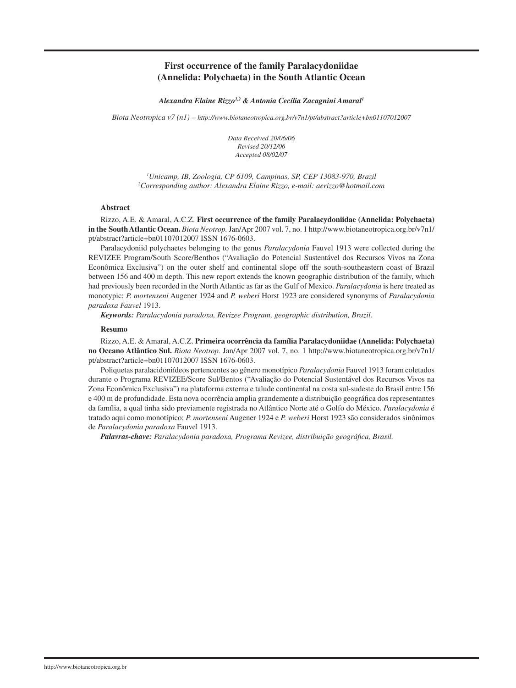# **First occurrence of the family Paralacydoniidae (Annelida: Polychaeta) in the South Atlantic Ocean**

### *Alexandra Elaine Rizzo1,2 & Antonia Cecília Zacagnini Amaral1*

*Biota Neotropica v7 (n1) – http://www.biotaneotropica.org.br/v7n1/pt/abstract?article+bn01107012007*

*Data Received 20/06/06 Revised 20/12/06 Accepted 08/02/07*

*1 Unicamp, IB, Zoologia, CP 6109, Campinas, SP, CEP 13083-970, Brazil 2 Corresponding author: Alexandra Elaine Rizzo, e-mail: aerizzo@hotmail.com*

## **Abstract**

Rizzo, A.E. & Amaral, A.C.Z. **First occurrence of the family Paralacydoniidae (Annelida: Polychaeta) in the South Atlantic Ocean.** *Biota Neotrop.* Jan/Apr 2007 vol. 7, no. 1 http://www.biotaneotropica.org.br/v7n1/ pt/abstract?article+bn01107012007 ISSN 1676-0603.

Paralacydoniid polychaetes belonging to the genus *Paralacydonia* Fauvel 1913 were collected during the REVIZEE Program/South Score/Benthos ("Avaliação do Potencial Sustentável dos Recursos Vivos na Zona Econômica Exclusiva") on the outer shelf and continental slope off the south-southeastern coast of Brazil between 156 and 400 m depth. This new report extends the known geographic distribution of the family, which had previously been recorded in the North Atlantic as far as the Gulf of Mexico. *Paralacydonia* is here treated as monotypic; *P. mortenseni* Augener 1924 and *P. weberi* Horst 1923 are considered synonyms of *Paralacydonia paradoxa Fauvel* 1913.

*Keywords: Paralacydonia paradoxa, Revizee Program, geographic distribution, Brazil.*

#### **Resumo**

Rizzo, A.E. & Amaral, A.C.Z. **Primeira ocorrência da família Paralacydoniidae (Annelida: Polychaeta) no Oceano Atlântico Sul.** *Biota Neotrop.* Jan/Apr 2007 vol. 7, no. 1 http://www.biotaneotropica.org.br/v7n1/ pt/abstract?article+bn01107012007 ISSN 1676-0603.

Poliquetas paralacidoniídeos pertencentes ao gênero monotípico *Paralacydonia* Fauvel 1913 foram coletados durante o Programa REVIZEE/Score Sul/Bentos ("Avaliação do Potencial Sustentável dos Recursos Vivos na Zona Econômica Exclusiva") na plataforma externa e talude continental na costa sul-sudeste do Brasil entre 156 e 400 m de profundidade. Esta nova ocorrência amplia grandemente a distribuição geográfica dos representantes da família, a qual tinha sido previamente registrada no Atlântico Norte até o Golfo do México. *Paralacydonia* é tratado aqui como monotípico; *P. mortenseni* Augener 1924 e *P. weberi* Horst 1923 são considerados sinônimos de *Paralacydonia paradoxa* Fauvel 1913.

*Palavras-chave: Paralacydonia paradoxa, Programa Revizee, distribuição geográfica, Brasil.*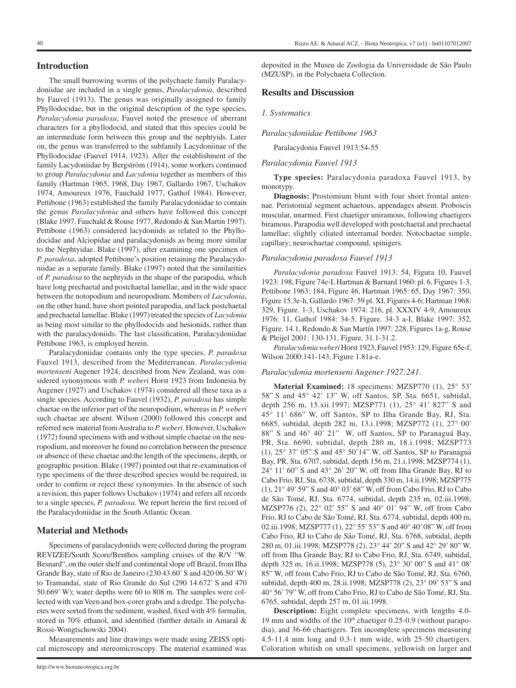# **Introduction**

The small burrowing worms of the polychaete family Paralacydoniidae are included in a single genus, *Paralacydonia*, described by Fauvel (1913). The genus was originally assigned to family Phyllodocidae, but in the original description of the type species, *Paralacydonia paradoxa*, Fauvel noted the presence of aberrant characters for a phyllodocid, and stated that this species could be an intermediate form between this group and the nephtyids. Later on, the genus was transferred to the subfamily Lacydoniinae of the Phyllodocidae (Fauvel 1914, 1923). After the establishment of the family Lacydoniidae by Bergström (1914), some workers continued to group *Paralacydonia* and *Lacydonia* together as members of this family (Hartman 1965, 1968, Day 1967, Gallardo 1967, Uschakov 1974, Amoureux 1976, Fauchald 1977, Gathof 1984). However, Pettibone (1963) established the family Paralacydoniidae to contain the genus *Paralacydonia* and others have followed this concept (Blake 1997, Fauchald & Rouse 1977, Redondo & San Martin 1997). Pettibone (1963) considered lacydoniids as related to the Phyllodocidae and Alciopidae and paralacydoniids as being more similar to the Nephtyidae. Blake (1997), after examining one specimen of *P. paradoxa*, adopted Pettibone's position retaining the Paralacydoniidae as a separate family. Blake (1997) noted that the similarities of *P. paradoxa* to the nephtyids in the shape of the parapodia, which have long prechaetal and postchaetal lamellae, and in the wide space between the notopodium and neuropodium. Members of *Lacydonia*, on the other hand, have short pointed parapodia, and lack postchaetal and prechaetal lamellae. Blake (1997) treated the species of *Lacydonia*  as being most similar to the phyllodocids and hesionids, rather than with the paralacydoniids. The last classification, Paralacydoniidae Pettibone 1963, is employed herein.

Paralacydoniidae contains only the type species, *P. paradoxa* Fauvel 1913, described from the Mediterranean. *Paralacydonia mortenseni* Augener 1924, described from New Zealand, was considered synonymous with *P. weberi* Horst 1923 from Indonesia by Augener (1927) and Uschakov (1974) considered all these taxa as a single species. According to Fauvel (1932), *P. paradoxa* has simple chaetae on the inferior part of the neuropodium, whereas in *P. weberi* such chaetae are absent. Wilson (2000) followed this concept and referred new material from Australia to *P. weberi.* However, Uschakov (1972) found specimens with and without simple chaetae on the neuropodium, and moreover he found no correlation between the presence or absence of these chaetae and the length of the specimens, depth, or geographic position. Blake (1997) pointed out that re-examination of type specimens of the three described species would be required, in order to confirm or reject these synonymies. In the absence of such a revision, this paper follows Uschakov (1974) and refers all records to a single species, *P. paradoxa.* We report herein the first record of the Paralacydoniidae in the South Atlantic Ocean.

# **Material and Methods**

Specimens of paralacydoniids were collected during the program REVIZEE/South Score/Benthos sampling cruises of the R/V "W. Besnard", on the outer shelf and continental slope off Brazil, from Ilha Grande Bay, state of Rio de Janeiro (230 43.60' S and 420 06.50'W) to Tramandaí, state of Rio Grande do Sul (290 14.672' S and 470 50.669'W); water depths were 60 to 808 m. The samples were collected with van Veen and box-corer grabs and a dredge. The polychaetes were sorted from the sediment, washed, fixed with 4% formalin, stored in 70% ethanol, and identified (further details in Amaral & Rossi-Wongtschowski 2004).

Measurements and line drawings were made using ZEISS optical microscopy and stereomicroscopy. The material examined was

http://www.biotaneotropica.org.br

deposited in the Museu de Zoologia da Universidade de São Paulo (MZUSP), in the Polychaeta Collection.

# **Results and Discussion**

*1. Systematics*

*Paralacydoniidae Pettibone 1963*

Paralacydonia Fauvel 1913:54-55

### *Paralacydonia Fauvel 1913*

**Type species:** Paralacydonia paradoxa Fauvel 1913, by monotypy.

**Diagnosis:** Prostomium blunt with four short frontal antennae. Peristomial segment achaetous, appendages absent. Proboscis muscular, unarmed. First chaetiger uniramous, following chaetigers biramous. Parapodia well developed with postchaetal and prechaetal lamellae; slightly ciliated interramal border. Notochaetae simple, capillary; neurochaetae compound, spinigers.

### *Paralacydonia paradoxa Fauvel 1913*

*Paralacydonia paradoxa* Fauvel 1913: 54, Figura 10, Fauvel 1923: 198, Figure 74e-I, Hartman & Barnard 1960: pl. 6, Figures 1-3, Pettibone 1963: 184, Figure 46, Hartman 1965: 65, Day 1967: 350, Figure 15.3e-h, Gallardo 1967: 59 pl. XI, Figures 4-6; Hartman 1968: 329, Figure. 1-3, Uschakov 1974: 216, pl. XXXIV 4-9, Amoureux 1976: 11, Gathof 1984: 34-5, Figure. 34-3 a-I, Blake 1997: 352, Figure. 14.1, Redondo & San Martín 1997: 228, Figures 1a-g, Rouse & Pleijel 2001: 130-131, Figure. 31.1-31.2.

*Paralacydonia weberi* Horst 1923, Fauvel 1953: 129, Figure 65e-f, Wilson 2000:141-143, Figure 1.81a-e.

### *Paralacydonia mortenseni Augener 1927:241.*

**Material Examined:** 18 specimens: MZSP770 (1), 25° 53' 58" S and 45° 42' 13" W, off Santos, SP, Sta. 6651, subtidal, depth 256 m, 15.xii.1997; MZSP771 (1), 25° 41' 827" S and 45° 11' 686" W, off Santos, SP to Ilha Grande Bay, RJ, Sta. 6685, subtidal, depth 282 m, 13.i.1998; MZSP772 (1), 27° 00' 88" S and 46° 40' 21" W, off Santos, SP to Paranaguá Bay, PR, Sta. 6690, subtidal, depth 280 m, 18.i.1998; MZSP773 (1), 25° 37' 05" S and 45° 50'14" W, off Santos, SP to Paranaguá Bay, PR, Sta. 6707, subtidal, depth 156 m, 21.i.1998; MZSP774 (1), 24° 11' 60" S and 43° 26' 20" W, off from Ilha Grande Bay, RJ to Cabo Frio, RJ, Sta. 6738, subtidal, depth 330 m, 14.ii.1998; MZSP775 (1), 21° 49' 59" S and 40° 03' 68" W, off from Cabo Frio, RJ to Cabo de São Tomé, RJ, Sta. 6774, subtidal, depth 235 m, 02.iii.1998; MZSP776 (2), 22° 02' 55" S and 40° 01' 94" W, off from Cabo Frio, RJ to Cabo de São Tomé, RJ, Sta. 6774, subtidal, depth 400 m, 02.iii.1998; MZSP777 (1), 22° 55' 53" S and 40° 40' 08" W, off from Cabo Frio, RJ to Cabo de São Tomé, RJ, Sta. 6768, subtidal, depth 280 m, 01.iii.1998; MZSP778 (2), 23° 44' 20" S and 42° 29' 80" W, off from Ilha Grande Bay, RJ to Cabo Frio, RJ, Sta. 6749, subtidal, depth 325 m, 16.ii.1998; MZSP778 (5), 23° 30' 00" S and 41° 08' 85" W, off from Cabo Frio, RJ to Cabo de São Tomé, RJ, Sta. 6760, subtidal, depth 400 m, 28.ii.1998; MZSP778 (2), 23° 09' 53" S and 40° 56' 79" W, off from Cabo Frio, RJ to Cabo de São Tomé, RJ, Sta. 6765, subtidal, depth 257 m, 01.iii.1998.

**Description:** Eight complete specimens, with lengths 4.0- 19 mm and widths of the  $10<sup>th</sup>$  chaetiger 0.25-0.9 (without parapodia), and 36-66 chaetigers. Ten incomplete specimens measuring 4.5-11.4 mm long and 0.3-1 mm wide, with 25-50 chaetigers. Coloration whitish on small specimens, yellowish on larger and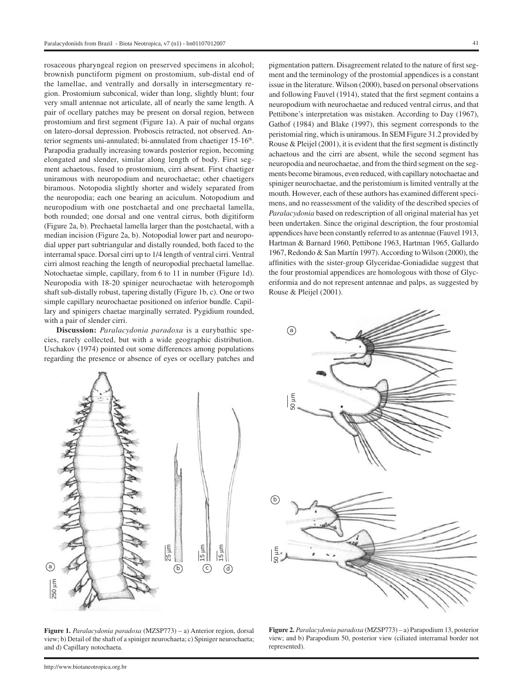rosaceous pharyngeal region on preserved specimens in alcohol; brownish punctiform pigment on prostomium, sub-distal end of the lamellae, and ventrally and dorsally in intersegmentary region. Prostomium subconical, wider than long, slightly blunt; four very small antennae not articulate, all of nearly the same length. A pair of ocellary patches may be present on dorsal region, between prostomium and first segment (Figure 1a). A pair of nuchal organs on latero-dorsal depression. Proboscis retracted, not observed. Anterior segments uni-annulated; bi-annulated from chaetiger 15-16<sup>th</sup>. Parapodia gradually increasing towards posterior region, becoming elongated and slender, similar along length of body. First segment achaetous, fused to prostomium, cirri absent. First chaetiger uniramous with neuropodium and neurochaetae; other chaetigers biramous. Notopodia slightly shorter and widely separated from the neuropodia; each one bearing an aciculum. Notopodium and neuropodium with one postchaetal and one prechaetal lamella, both rounded; one dorsal and one ventral cirrus, both digitiform (Figure 2a, b). Prechaetal lamella larger than the postchaetal, with a median incision (Figure 2a, b). Notopodial lower part and neuropodial upper part subtriangular and distally rounded, both faced to the interramal space. Dorsal cirri up to 1/4 length of ventral cirri. Ventral cirri almost reaching the length of neuropodial prechaetal lamellae. Notochaetae simple, capillary, from 6 to 11 in number (Figure 1d). Neuropodia with 18-20 spiniger neurochaetae with heterogomph shaft sub-distally robust, tapering distally (Figure 1b, c). One or two simple capillary neurochaetae positioned on inferior bundle. Capillary and spinigers chaetae marginally serrated. Pygidium rounded, with a pair of slender cirri.

**Discussion:** *Paralacydonia paradoxa* is a eurybathic species, rarely collected, but with a wide geographic distribution. Uschakov (1974) pointed out some differences among populations regarding the presence or absence of eyes or ocellary patches and



**Figure 1.** *Paralacydonia paradoxa* (MZSP773) – a) Anterior region, dorsal view; b) Detail of the shaft of a spiniger neurochaeta; c) Spiniger neurochaeta; and d) Capillary notochaeta*.*

pigmentation pattern. Disagreement related to the nature of first segment and the terminology of the prostomial appendices is a constant issue in the literature. Wilson (2000), based on personal observations and following Fauvel (1914), stated that the first segment contains a neuropodium with neurochaetae and reduced ventral cirrus, and that Pettibone's interpretation was mistaken. According to Day (1967), Gathof (1984) and Blake (1997), this segment corresponds to the peristomial ring, which is uniramous. In SEM Figure 31.2 provided by Rouse & Pleijel (2001), it is evident that the first segment is distinctly achaetous and the cirri are absent, while the second segment has neuropodia and neurochaetae, and from the third segment on the segments become biramous, even reduced, with capillary notochaetae and spiniger neurochaetae, and the peristomium is limited ventrally at the mouth. However, each of these authors has examined different specimens, and no reassessment of the validity of the described species of *Paralacydonia* based on redescription of all original material has yet been undertaken. Since the original description, the four prostomial appendices have been constantly referred to as antennae (Fauvel 1913, Hartman & Barnard 1960, Pettibone 1963, Hartman 1965, Gallardo 1967, Redondo & San Martín 1997). According to Wilson (2000), the affinities with the sister-group Glyceridae-Goniadidae suggest that the four prostomial appendices are homologous with those of Glyceriformia and do not represent antennae and palps, as suggested by Rouse & Pleijel (2001).



**Figure 2.** *Paralacydonia paradoxa* (MZSP773) – a) Parapodium 13, posterior view; and b) Parapodium 50, posterior view (ciliated interramal border not represented).